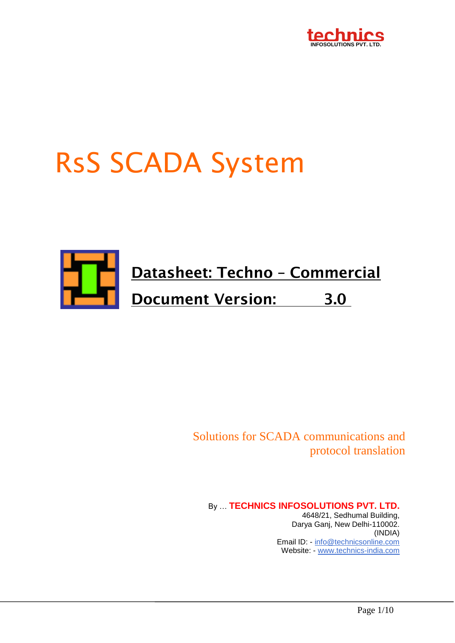

# RsS SCADA System



Solutions for SCADA communications and protocol translation

By … **TECHNICS INFOSOLUTIONS PVT. LTD.** 4648/21, Sedhumal Building, Darya Ganj, New Delhi-110002. (INDIA) Email ID: - [info@technicsonline.com](mailto:info@technicsonline.com) Website: - [www.technics-india.com](http://www.technics-india.com/)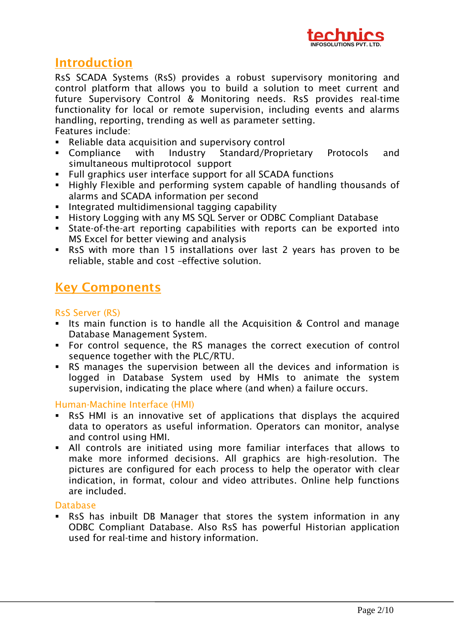

# **Introduction**

RsS SCADA Systems (RsS) provides a robust supervisory monitoring and control platform that allows you to build a solution to meet current and future Supervisory Control & Monitoring needs. RsS provides real-time functionality for local or remote supervision, including events and alarms handling, reporting, trending as well as parameter setting. Features include:

- Reliable data acquisition and supervisory control
- Compliance with Industry Standard/Proprietary Protocols and simultaneous multiprotocol support
- Full graphics user interface support for all SCADA functions
- Highly Flexible and performing system capable of handling thousands of alarms and SCADA information per second
- **Integrated multidimensional tagging capability**
- **History Logging with any MS SQL Server or ODBC Compliant Database**
- State-of-the-art reporting capabilities with reports can be exported into MS Excel for better viewing and analysis
- RsS with more than 15 installations over last 2 years has proven to be reliable, stable and cost –effective solution.

# **Key Components**

# RsS Server (RS)

- Its main function is to handle all the Acquisition & Control and manage Database Management System.
- For control sequence, the RS manages the correct execution of control sequence together with the PLC/RTU.
- RS manages the supervision between all the devices and information is logged in Database System used by HMIs to animate the system supervision, indicating the place where (and when) a failure occurs.

## Human-Machine Interface (HMI)

- RsS HMI is an innovative set of applications that displays the acquired data to operators as useful information. Operators can monitor, analyse and control using HMI.
- All controls are initiated using more familiar interfaces that allows to make more informed decisions. All graphics are high-resolution. The pictures are configured for each process to help the operator with clear indication, in format, colour and video attributes. Online help functions are included.

#### Database

 RsS has inbuilt DB Manager that stores the system information in any ODBC Compliant Database. Also RsS has powerful Historian application used for real-time and history information.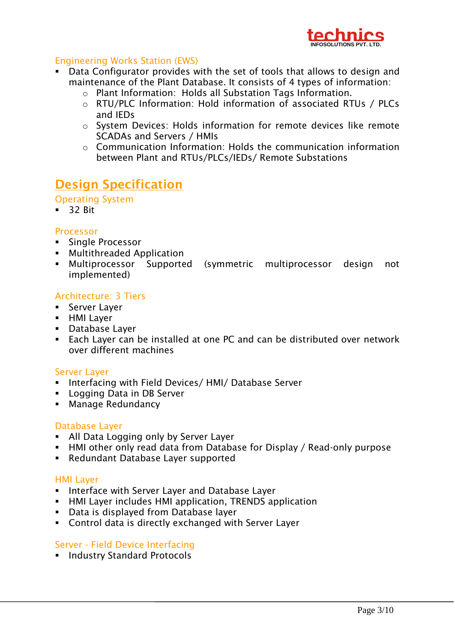

# Engineering Works Station (EWS)

- Data Configurator provides with the set of tools that allows to design and maintenance of the Plant Database. It consists of 4 types of information:
	- o Plant Information: Holds all Substation Tags Information.
	- o RTU/PLC Information: Hold information of associated RTUs / PLCs and IEDs
	- o System Devices: Holds information for remote devices like remote SCADAs and Servers / HMIs
	- o Communication Information: Holds the communication information between Plant and RTUs/PLCs/IEDs/ Remote Substations

# **Design Specification**

Operating System

 $-32$  Bit

## Processor

- **Single Processor**
- **Multithreaded Application**
- Multiprocessor Supported (symmetric multiprocessor design not implemented)

## Architecture: 3 Tiers

- **Server Layer**
- **HMI Layer**
- Database Layer
- Each Layer can be installed at one PC and can be distributed over network over different machines

## Server Layer

- **Interfacing with Field Devices/ HMI/ Database Server**
- **Logging Data in DB Server**
- **Manage Redundancy**

## Database Layer

- All Data Logging only by Server Layer
- HMI other only read data from Database for Display / Read-only purpose
- Redundant Database Layer supported

## HMI Layer

- **Interface with Server Layer and Database Layer**
- **HMI Layer includes HMI application, TRENDS application**
- Data is displayed from Database layer
- Control data is directly exchanged with Server Layer

## Server - Field Device Interfacing

**Industry Standard Protocols**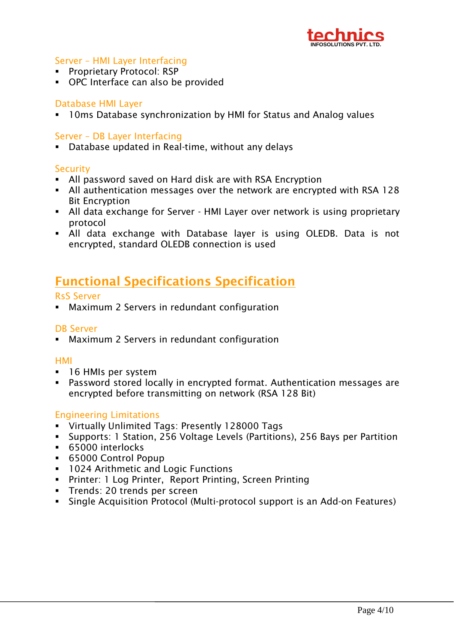

# Server – HMI Layer Interfacing

- **Proprietary Protocol: RSP**
- OPC Interface can also be provided

# Database HMI Layer

10ms Database synchronization by HMI for Status and Analog values

#### Server – DB Layer Interfacing

Database updated in Real-time, without any delays

#### **Security**

- All password saved on Hard disk are with RSA Encryption
- All authentication messages over the network are encrypted with RSA 128 Bit Encryption
- All data exchange for Server HMI Layer over network is using proprietary protocol
- All data exchange with Database layer is using OLEDB. Data is not encrypted, standard OLEDB connection is used

# **Functional Specifications Specification**

#### RsS Server

Maximum 2 Servers in redundant configuration

## DB Server

Maximum 2 Servers in redundant configuration

#### HMI

- 16 HMIs per system
- Password stored locally in encrypted format. Authentication messages are encrypted before transmitting on network (RSA 128 Bit)

## Engineering Limitations

- Virtually Unlimited Tags: Presently 128000 Tags
- Supports: 1 Station, 256 Voltage Levels (Partitions), 256 Bays per Partition
- 65000 interlocks
- 65000 Control Popup
- **1024 Arithmetic and Logic Functions**
- Printer: 1 Log Printer, Report Printing, Screen Printing
- **Trends: 20 trends per screen**
- Single Acquisition Protocol (Multi-protocol support is an Add-on Features)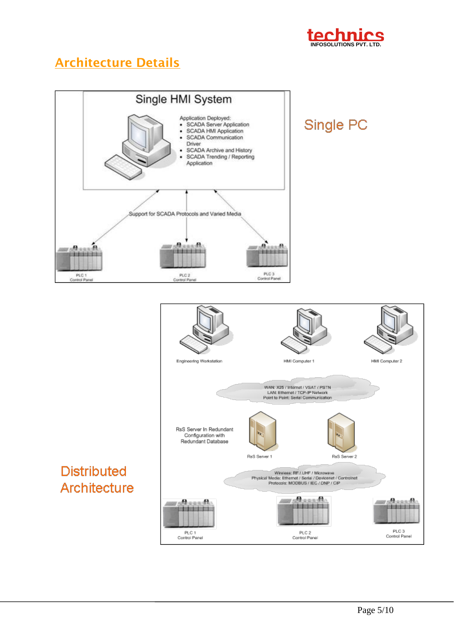

# **Architecture Details**





# **Distributed** Architecture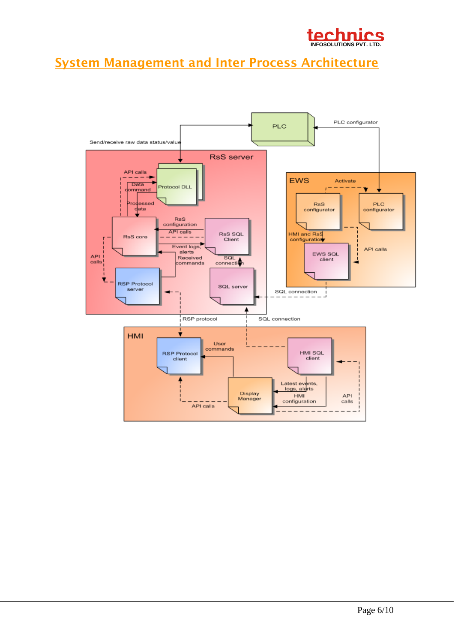

# **System Management and Inter Process Architecture**

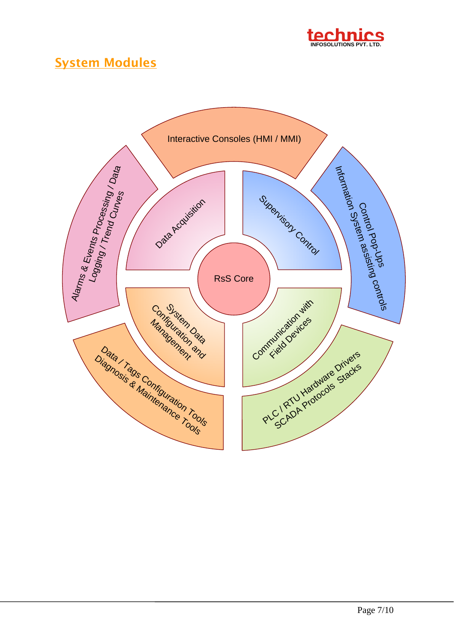

# **System Modules**

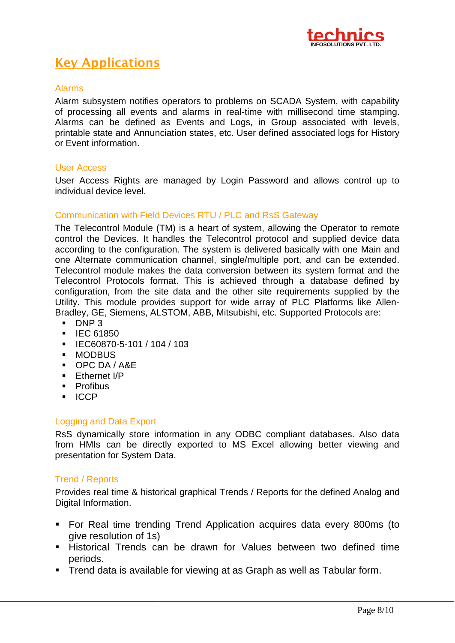

# **Key Applications**

#### Alarms

Alarm subsystem notifies operators to problems on SCADA System, with capability of processing all events and alarms in real-time with millisecond time stamping. Alarms can be defined as Events and Logs, in Group associated with levels, printable state and Annunciation states, etc. User defined associated logs for History or Event information.

#### User Access

User Access Rights are managed by Login Password and allows control up to individual device level.

#### Communication with Field Devices RTU / PLC and RsS Gateway

The Telecontrol Module (TM) is a heart of system, allowing the Operator to remote control the Devices. It handles the Telecontrol protocol and supplied device data according to the configuration. The system is delivered basically with one Main and one Alternate communication channel, single/multiple port, and can be extended. Telecontrol module makes the data conversion between its system format and the Telecontrol Protocols format. This is achieved through a database defined by configuration, from the site data and the other site requirements supplied by the Utility. This module provides support for wide array of PLC Platforms like Allen-Bradley, GE, Siemens, ALSTOM, ABB, Mitsubishi, etc. Supported Protocols are:

- $\blacksquare$  DNP 3
- **IEC 61850**
- IEC60870-5-101 / 104 / 103
- **MODBUS**
- OPC DA / A&E
- **Ethernet I/P**
- **Profibus**
- **ICCP**

## Logging and Data Export

RsS dynamically store information in any ODBC compliant databases. Also data from HMIs can be directly exported to MS Excel allowing better viewing and presentation for System Data.

#### Trend / Reports

Provides real time & historical graphical Trends / Reports for the defined Analog and Digital Information.

- For Real time trending Trend Application acquires data every 800ms (to give resolution of 1s)
- **Historical Trends can be drawn for Values between two defined time** periods.
- **Trend data is available for viewing at as Graph as well as Tabular form.**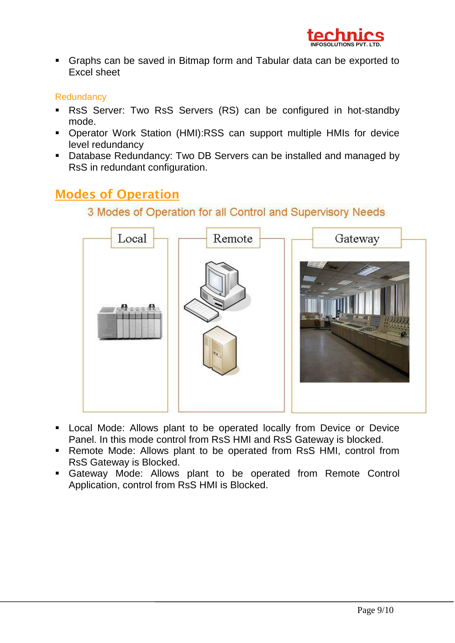

 Graphs can be saved in Bitmap form and Tabular data can be exported to Excel sheet

# **Redundancy**

- RsS Server: Two RsS Servers (RS) can be configured in hot-standby mode.
- Operator Work Station (HMI):RSS can support multiple HMIs for device level redundancy
- Database Redundancy: Two DB Servers can be installed and managed by RsS in redundant configuration.

# **Modes of Operation**

# 3 Modes of Operation for all Control and Supervisory Needs



- **-** Local Mode: Allows plant to be operated locally from Device or Device Panel. In this mode control from RsS HMI and RsS Gateway is blocked.
- **-** Remote Mode: Allows plant to be operated from RsS HMI, control from RsS Gateway is Blocked.
- Gateway Mode: Allows plant to be operated from Remote Control Application, control from RsS HMI is Blocked.